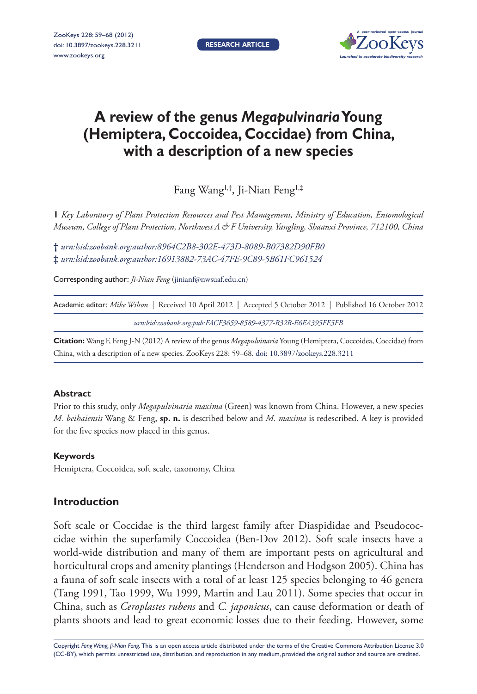**Research article**



# **A review of the genus** *Megapulvinaria* **Young (Hemiptera, Coccoidea, Coccidae) from China, with a description of a new species**

Fang Wang1,†, Ji-Nian Feng1,‡

**1** *Key Laboratory of Plant Protection Resources and Pest Management, Ministry of Education, Entomological Museum, College of Plant Protection, Northwest A & F University, Yangling, Shaanxi Province, 712100, China*

**†** *[urn:lsid:zoobank.org:author:8964C2B8-302E-473D-8089-B07382D90FB0](http://zoobank.org/?lsid=urn:lsid:zoobank.org:author:8964C2B8-302E-473D-8089-B07382D90FB0)* **‡** *[urn:lsid:zoobank.org:author:16913882-73AC-47FE-9C89-5B61FC961524](http://zoobank.org/?lsid=urn:lsid:zoobank.org:author:16913882-73AC-47FE-9C89-5B61FC961524)*

Corresponding author: *Ji-Nian Feng* [\(jinianf@nwsuaf.edu.cn\)](mailto:jinianf@nwsuaf.edu.cn)

Academic editor: *Mike Wilson* | Received 10 April 2012 | Accepted 5 October 2012 | Published 16 October 2012

*[urn:lsid:zoobank.org:pub:FACF3659-8589-4377-B32B-E6EA395FE5FB](http://zoobank.org/?lsid=urn:lsid:zoobank.org:pub:FACF3659-8589-4377-B32B-E6EA395FE5FB)*

**Citation:** Wang F, Feng J-N (2012) A review of the genus *Megapulvinaria* Young (Hemiptera, Coccoidea, Coccidae) from China, with a description of a new species. ZooKeys 228: 59–68. [doi: 10.3897/zookeys.228.3211](http://dx.doi.org/10.3897/zookeys.228.3211)

#### **Abstract**

Prior to this study, only *Megapulvinaria maxima* (Green) was known from China. However, a new species *M. beihaiensis* Wang & Feng, **sp. n.** is described below and *M. maxima* is redescribed. A key is provided for the five species now placed in this genus.

#### **Keywords**

Hemiptera, Coccoidea, soft scale, taxonomy, China

# **Introduction**

Soft scale or Coccidae is the third largest family after Diaspididae and Pseudococcidae within the superfamily Coccoidea (Ben-Dov 2012). Soft scale insects have a world-wide distribution and many of them are important pests on agricultural and horticultural crops and amenity plantings (Henderson and Hodgson 2005). China has a fauna of soft scale insects with a total of at least 125 species belonging to 46 genera (Tang 1991, Tao 1999, Wu 1999, Martin and Lau 2011). Some species that occur in China, such as *Ceroplastes rubens* and *C. japonicus*, can cause deformation or death of plants shoots and lead to great economic losses due to their feeding. However, some

Copyright *Fang Wang, Ji-Nian Feng.* This is an open access article distributed under the terms of the [Creative Commons Attribution License 3.0](http://creativecommons.org/licenses/by/3.0/)  [\(CC-BY\),](http://creativecommons.org/licenses/by/3.0/) which permits unrestricted use, distribution, and reproduction in any medium, provided the original author and source are credited.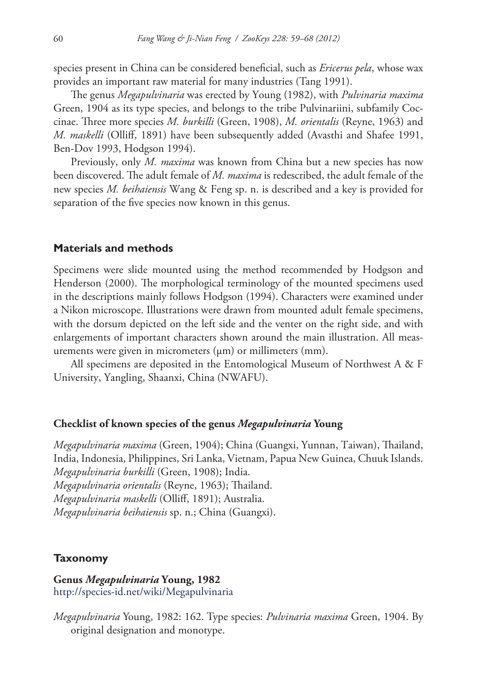species present in China can be considered beneficial, such as *Ericerus pela*, whose wax provides an important raw material for many industries (Tang 1991).

The genus *Megapulvinaria* was erected by Young (1982), with *Pulvinaria maxima* Green, 1904 as its type species, and belongs to the tribe Pulvinariini, subfamily Coccinae. Three more species *M. burkilli* (Green, 1908), *M. orientalis* (Reyne, 1963) and *M. maskelli* (Olliff, 1891) have been subsequently added (Avasthi and Shafee 1991, Ben-Dov 1993, Hodgson 1994).

Previously, only *M. maxima* was known from China but a new species has now been discovered. The adult female of *M. maxima* is redescribed, the adult female of the new species *M. beihaiensis* Wang & Feng sp. n. is described and a key is provided for separation of the five species now known in this genus.

#### **Materials and methods**

Specimens were slide mounted using the method recommended by Hodgson and Henderson (2000). The morphological terminology of the mounted specimens used in the descriptions mainly follows Hodgson (1994). Characters were examined under a Nikon microscope. Illustrations were drawn from mounted adult female specimens, with the dorsum depicted on the left side and the venter on the right side, and with enlargements of important characters shown around the main illustration. All measurements were given in micrometers  $(\mu m)$  or millimeters  $(mm)$ .

All specimens are deposited in the Entomological Museum of Northwest A & F University, Yangling, Shaanxi, China (NWAFU).

## **Checklist of known species of the genus** *Megapulvinaria* **Young**

*Megapulvinaria maxima* (Green, 1904); China (Guangxi, Yunnan, Taiwan), Thailand, India, Indonesia, Philippines, Sri Lanka, Vietnam, Papua New Guinea, Chuuk Islands. *Megapulvinaria burkilli* (Green, 1908); India. *Megapulvinaria orientalis* (Reyne, 1963); Thailand. *Megapulvinaria maskelli* (Olliff, 1891); Australia. *Megapulvinaria beihaiensis* sp. n.; China (Guangxi).

#### **Taxonomy**

# **Genus** *Megapulvinaria* **Young, 1982** <http://species-id.net/wiki/Megapulvinaria>

*Megapulvinaria* Young, 1982: 162. Type species: *Pulvinaria maxima* Green, 1904. By original designation and monotype.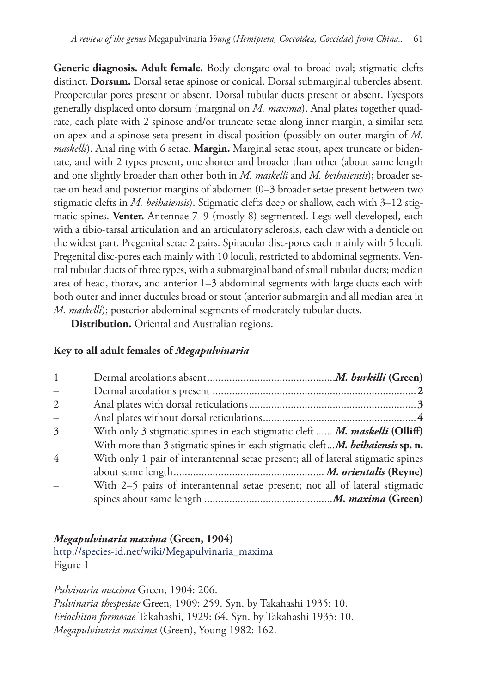**Generic diagnosis. Adult female.** Body elongate oval to broad oval; stigmatic clefts distinct. **Dorsum.** Dorsal setae spinose or conical. Dorsal submarginal tubercles absent. Preopercular pores present or absent. Dorsal tubular ducts present or absent. Eyespots generally displaced onto dorsum (marginal on *M. maxima*). Anal plates together quadrate, each plate with 2 spinose and/or truncate setae along inner margin, a similar seta on apex and a spinose seta present in discal position (possibly on outer margin of *M. maskelli*). Anal ring with 6 setae. **Margin.** Marginal setae stout, apex truncate or bidentate, and with 2 types present, one shorter and broader than other (about same length and one slightly broader than other both in *M. maskelli* and *M. beihaiensis*); broader setae on head and posterior margins of abdomen (0–3 broader setae present between two stigmatic clefts in *M. beihaiensis*). Stigmatic clefts deep or shallow, each with 3–12 stigmatic spines. **Venter.** Antennae 7–9 (mostly 8) segmented. Legs well-developed, each with a tibio-tarsal articulation and an articulatory sclerosis, each claw with a denticle on the widest part. Pregenital setae 2 pairs. Spiracular disc-pores each mainly with 5 loculi. Pregenital disc-pores each mainly with 10 loculi, restricted to abdominal segments. Ventral tubular ducts of three types, with a submarginal band of small tubular ducts; median area of head, thorax, and anterior 1–3 abdominal segments with large ducts each with both outer and inner ductules broad or stout (anterior submargin and all median area in *M. maskelli*); posterior abdominal segments of moderately tubular ducts.

**Distribution.** Oriental and Australian regions.

# **Key to all adult females of** *Megapulvinaria*

| $\mathbf{1}$  |                                                                                  |
|---------------|----------------------------------------------------------------------------------|
|               |                                                                                  |
| $\mathcal{L}$ |                                                                                  |
|               |                                                                                  |
| 3             | With only 3 stigmatic spines in each stigmatic cleft  M. maskelli (Olliff)       |
| $\frac{1}{2}$ | With more than 3 stigmatic spines in each stigmatic cleftM. beihaiensis sp. n.   |
| 4             | With only 1 pair of interantennal setae present; all of lateral stigmatic spines |
|               |                                                                                  |
|               | With 2-5 pairs of interantennal setae present; not all of lateral stigmatic      |
|               |                                                                                  |

# *Megapulvinaria maxima* **(Green, 1904)**

[http://species-id.net/wiki/Megapulvinaria\\_maxima](http://species-id.net/wiki/Megapulvinaria_maxima) Figure 1

*Pulvinaria maxima* Green, 1904: 206. *Pulvinaria thespesiae* Green, 1909: 259. Syn. by Takahashi 1935: 10. *Eriochiton formosae* Takahashi, 1929: 64. Syn. by Takahashi 1935: 10. *Megapulvinaria maxima* (Green), Young 1982: 162.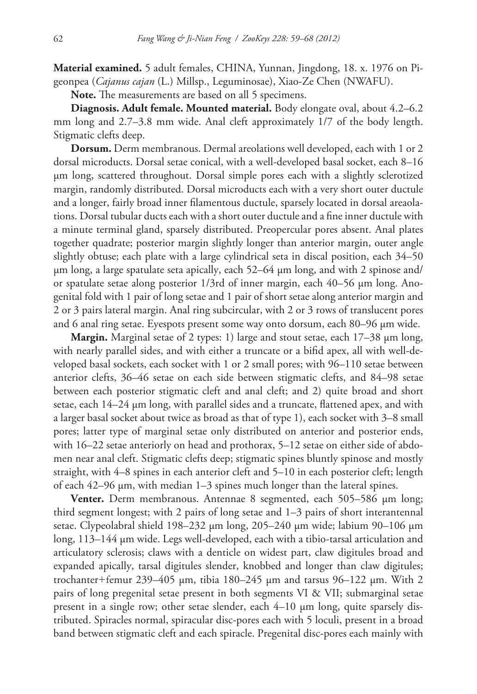**Material examined.** 5 adult females, CHINA, Yunnan, Jingdong, 18. x. 1976 on Pigeonpea (*Cajanus cajan* (L.) Millsp., Leguminosae), Xiao-Ze Chen (NWAFU).

**Note.** The measurements are based on all 5 specimens.

**Diagnosis. Adult female. Mounted material.** Body elongate oval, about 4.2–6.2 mm long and 2.7–3.8 mm wide. Anal cleft approximately 1/7 of the body length. Stigmatic clefts deep.

**Dorsum.** Derm membranous. Dermal areolations well developed, each with 1 or 2 dorsal microducts. Dorsal setae conical, with a well-developed basal socket, each 8–16 µm long, scattered throughout. Dorsal simple pores each with a slightly sclerotized margin, randomly distributed. Dorsal microducts each with a very short outer ductule and a longer, fairly broad inner filamentous ductule, sparsely located in dorsal areaolations. Dorsal tubular ducts each with a short outer ductule and a fine inner ductule with a minute terminal gland, sparsely distributed. Preopercular pores absent. Anal plates together quadrate; posterior margin slightly longer than anterior margin, outer angle slightly obtuse; each plate with a large cylindrical seta in discal position, each 34–50 µm long, a large spatulate seta apically, each 52–64 µm long, and with 2 spinose and/ or spatulate setae along posterior 1/3rd of inner margin, each 40–56 µm long. Anogenital fold with 1 pair of long setae and 1 pair of short setae along anterior margin and 2 or 3 pairs lateral margin. Anal ring subcircular, with 2 or 3 rows of translucent pores and 6 anal ring setae. Eyespots present some way onto dorsum, each 80–96 µm wide.

**Margin.** Marginal setae of 2 types: 1) large and stout setae, each 17–38 µm long, with nearly parallel sides, and with either a truncate or a bifid apex, all with well-developed basal sockets, each socket with 1 or 2 small pores; with 96–110 setae between anterior clefts, 36–46 setae on each side between stigmatic clefts, and 84–98 setae between each posterior stigmatic cleft and anal cleft; and 2) quite broad and short setae, each 14–24 µm long, with parallel sides and a truncate, flattened apex, and with a larger basal socket about twice as broad as that of type 1), each socket with 3–8 small pores; latter type of marginal setae only distributed on anterior and posterior ends, with 16–22 setae anteriorly on head and prothorax, 5–12 setae on either side of abdomen near anal cleft. Stigmatic clefts deep; stigmatic spines bluntly spinose and mostly straight, with 4–8 spines in each anterior cleft and 5–10 in each posterior cleft; length of each 42–96 µm, with median 1–3 spines much longer than the lateral spines.

**Venter.** Derm membranous. Antennae 8 segmented, each 505–586 µm long; third segment longest; with 2 pairs of long setae and 1–3 pairs of short interantennal setae. Clypeolabral shield 198–232 µm long, 205–240 µm wide; labium 90–106 µm long, 113–144 µm wide. Legs well-developed, each with a tibio-tarsal articulation and articulatory sclerosis; claws with a denticle on widest part, claw digitules broad and expanded apically, tarsal digitules slender, knobbed and longer than claw digitules; trochanter+femur 239–405 µm, tibia 180–245 µm and tarsus 96–122 µm. With 2 pairs of long pregenital setae present in both segments VI & VII; submarginal setae present in a single row; other setae slender, each 4–10 µm long, quite sparsely distributed. Spiracles normal, spiracular disc-pores each with 5 loculi, present in a broad band between stigmatic cleft and each spiracle. Pregenital disc-pores each mainly with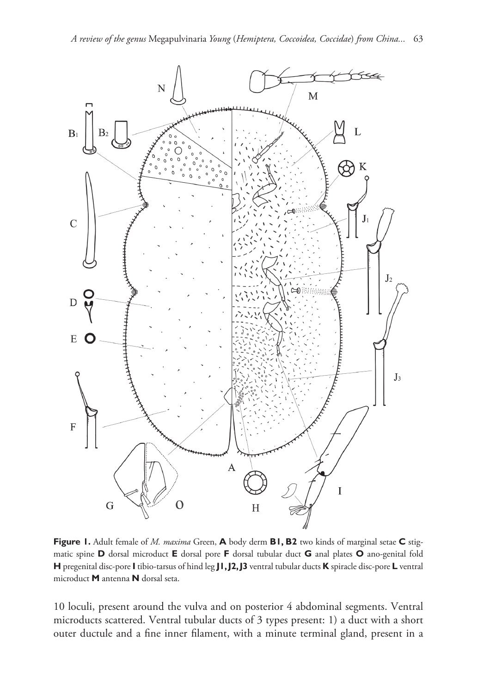

**Figure 1.** Adult female of *M. maxima* Green, **A** body derm **B1, B2** two kinds of marginal setae **C** stigmatic spine **D** dorsal microduct **E** dorsal pore **F** dorsal tubular duct **G** anal plates **O** ano-genital fold **H** pregenital disc-pore **I** tibio-tarsus of hind leg **J1, J2, J3** ventral tubular ducts **K** spiracle disc-pore **L** ventral microduct **M** antenna **N** dorsal seta.

10 loculi, present around the vulva and on posterior 4 abdominal segments. Ventral microducts scattered. Ventral tubular ducts of 3 types present: 1) a duct with a short outer ductule and a fine inner filament, with a minute terminal gland, present in a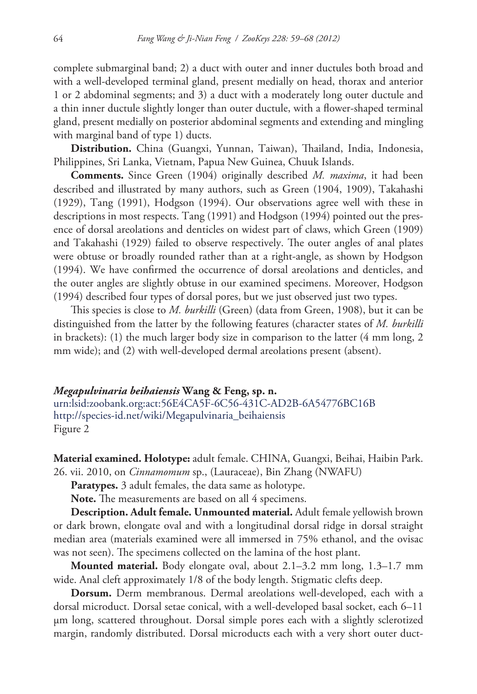complete submarginal band; 2) a duct with outer and inner ductules both broad and with a well-developed terminal gland, present medially on head, thorax and anterior 1 or 2 abdominal segments; and 3) a duct with a moderately long outer ductule and a thin inner ductule slightly longer than outer ductule, with a flower-shaped terminal gland, present medially on posterior abdominal segments and extending and mingling with marginal band of type 1) ducts.

**Distribution.** China (Guangxi, Yunnan, Taiwan), Thailand, India, Indonesia, Philippines, Sri Lanka, Vietnam, Papua New Guinea, Chuuk Islands.

**Comments.** Since Green (1904) originally described *M. maxima*, it had been described and illustrated by many authors, such as Green (1904, 1909), Takahashi (1929), Tang (1991), Hodgson (1994). Our observations agree well with these in descriptions in most respects. Tang (1991) and Hodgson (1994) pointed out the presence of dorsal areolations and denticles on widest part of claws, which Green (1909) and Takahashi (1929) failed to observe respectively. The outer angles of anal plates were obtuse or broadly rounded rather than at a right-angle, as shown by Hodgson (1994). We have confirmed the occurrence of dorsal areolations and denticles, and the outer angles are slightly obtuse in our examined specimens. Moreover, Hodgson (1994) described four types of dorsal pores, but we just observed just two types.

This species is close to *M. burkilli* (Green) (data from Green, 1908), but it can be distinguished from the latter by the following features (character states of *M. burkilli*  in brackets): (1) the much larger body size in comparison to the latter (4 mm long, 2 mm wide); and (2) with well-developed dermal areolations present (absent).

*Megapulvinaria beihaiensis* **Wang & Feng, sp. n.** [urn:lsid:zoobank.org:act:56E4CA5F-6C56-431C-AD2B-6A54776BC16B](http://zoobank.org/?lsid=urn:lsid:zoobank.org:act:56E4CA5F-6C56-431C-AD2B-6A54776BC16B) [http://species-id.net/wiki/Megapulvinaria\\_beihaiensis](http://species-id.net/wiki/Megapulvinaria_beihaiensis) Figure 2

**Material examined. Holotype:** adult female. CHINA, Guangxi, Beihai, Haibin Park. 26. vii. 2010, on *Cinnamomum* sp., (Lauraceae), Bin Zhang (NWAFU)

**Paratypes.** 3 adult females, the data same as holotype.

Note. The measurements are based on all 4 specimens.

**Description. Adult female. Unmounted material.** Adult female yellowish brown or dark brown, elongate oval and with a longitudinal dorsal ridge in dorsal straight median area (materials examined were all immersed in 75% ethanol, and the ovisac was not seen). The specimens collected on the lamina of the host plant.

**Mounted material.** Body elongate oval, about 2.1–3.2 mm long, 1.3–1.7 mm wide. Anal cleft approximately 1/8 of the body length. Stigmatic clefts deep.

**Dorsum.** Derm membranous. Dermal areolations well-developed, each with a dorsal microduct. Dorsal setae conical, with a well-developed basal socket, each 6–11 µm long, scattered throughout. Dorsal simple pores each with a slightly sclerotized margin, randomly distributed. Dorsal microducts each with a very short outer duct-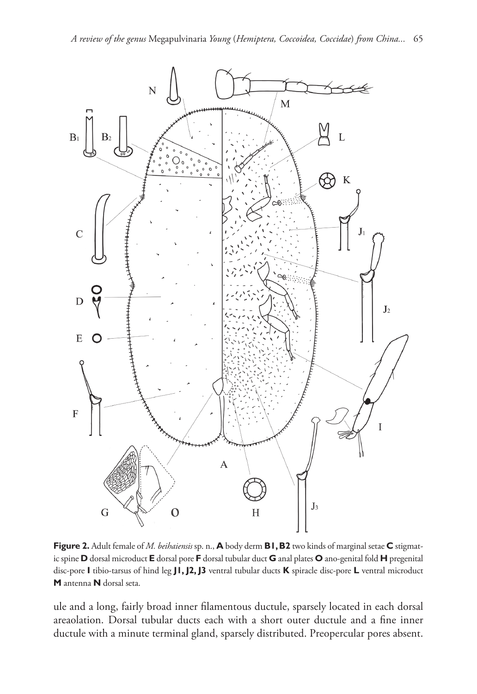

**Figure 2.** Adult female of *M. beihaiensis* sp. n., **A** body derm **B1, B2** two kinds of marginal setae **C** stigmatic spine **D** dorsal microduct **E** dorsal pore **F** dorsal tubular duct **G** anal plates **O** ano-genital fold **H** pregenital disc-pore **I** tibio-tarsus of hind leg **J1, J2, J3** ventral tubular ducts **K** spiracle disc-pore **L** ventral microduct **M** antenna **N** dorsal seta.

ule and a long, fairly broad inner filamentous ductule, sparsely located in each dorsal areaolation. Dorsal tubular ducts each with a short outer ductule and a fine inner ductule with a minute terminal gland, sparsely distributed. Preopercular pores absent.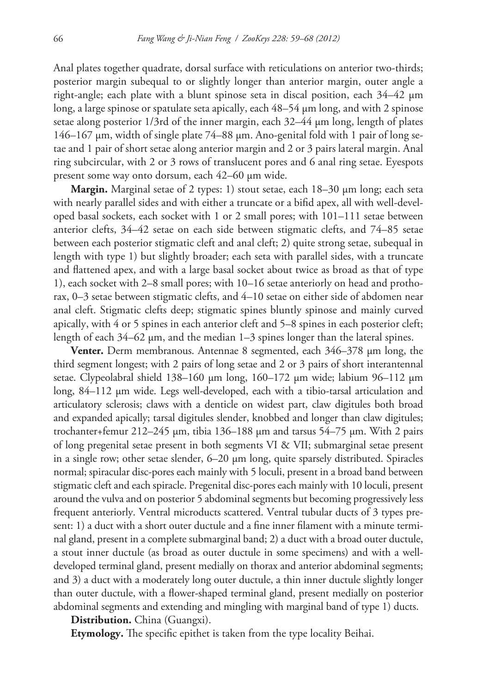Anal plates together quadrate, dorsal surface with reticulations on anterior two-thirds; posterior margin subequal to or slightly longer than anterior margin, outer angle a right-angle; each plate with a blunt spinose seta in discal position, each 34–42 µm long, a large spinose or spatulate seta apically, each 48–54 µm long, and with 2 spinose setae along posterior 1/3rd of the inner margin, each 32–44 µm long, length of plates 146–167 µm, width of single plate 74–88 µm. Ano-genital fold with 1 pair of long setae and 1 pair of short setae along anterior margin and 2 or 3 pairs lateral margin. Anal ring subcircular, with 2 or 3 rows of translucent pores and 6 anal ring setae. Eyespots present some way onto dorsum, each 42–60 µm wide.

**Margin.** Marginal setae of 2 types: 1) stout setae, each 18–30 µm long; each seta with nearly parallel sides and with either a truncate or a bifid apex, all with well-developed basal sockets, each socket with 1 or 2 small pores; with 101–111 setae between anterior clefts, 34–42 setae on each side between stigmatic clefts, and 74–85 setae between each posterior stigmatic cleft and anal cleft; 2) quite strong setae, subequal in length with type 1) but slightly broader; each seta with parallel sides, with a truncate and flattened apex, and with a large basal socket about twice as broad as that of type 1), each socket with 2–8 small pores; with 10–16 setae anteriorly on head and prothorax, 0–3 setae between stigmatic clefts, and 4–10 setae on either side of abdomen near anal cleft. Stigmatic clefts deep; stigmatic spines bluntly spinose and mainly curved apically, with 4 or 5 spines in each anterior cleft and 5–8 spines in each posterior cleft; length of each 34–62 µm, and the median 1–3 spines longer than the lateral spines.

**Venter.** Derm membranous. Antennae 8 segmented, each 346–378 µm long, the third segment longest; with 2 pairs of long setae and 2 or 3 pairs of short interantennal setae. Clypeolabral shield 138–160 µm long, 160–172 µm wide; labium 96–112 µm long, 84–112 µm wide. Legs well-developed, each with a tibio-tarsal articulation and articulatory sclerosis; claws with a denticle on widest part, claw digitules both broad and expanded apically; tarsal digitules slender, knobbed and longer than claw digitules; trochanter+femur 212–245 µm, tibia 136–188 µm and tarsus 54–75 µm. With 2 pairs of long pregenital setae present in both segments VI & VII; submarginal setae present in a single row; other setae slender,  $6-20 \mu m$  long, quite sparsely distributed. Spiracles normal; spiracular disc-pores each mainly with 5 loculi, present in a broad band between stigmatic cleft and each spiracle. Pregenital disc-pores each mainly with 10 loculi, present around the vulva and on posterior 5 abdominal segments but becoming progressively less frequent anteriorly. Ventral microducts scattered. Ventral tubular ducts of 3 types present: 1) a duct with a short outer ductule and a fine inner filament with a minute terminal gland, present in a complete submarginal band; 2) a duct with a broad outer ductule, a stout inner ductule (as broad as outer ductule in some specimens) and with a welldeveloped terminal gland, present medially on thorax and anterior abdominal segments; and 3) a duct with a moderately long outer ductule, a thin inner ductule slightly longer than outer ductule, with a flower-shaped terminal gland, present medially on posterior abdominal segments and extending and mingling with marginal band of type 1) ducts.

**Distribution.** China (Guangxi).

**Etymology.** The specific epithet is taken from the type locality Beihai.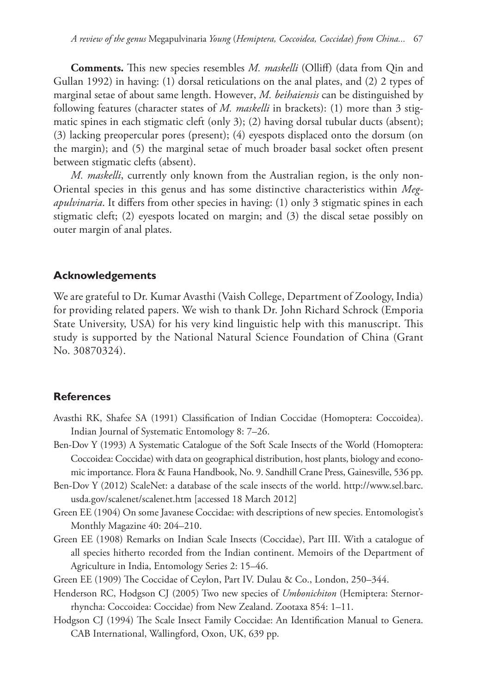**Comments.** This new species resembles *M. maskelli* (Olliff) (data from Qin and Gullan 1992) in having: (1) dorsal reticulations on the anal plates, and (2) 2 types of marginal setae of about same length. However, *M. beihaiensis* can be distinguished by following features (character states of *M. maskelli* in brackets): (1) more than 3 stigmatic spines in each stigmatic cleft (only 3); (2) having dorsal tubular ducts (absent); (3) lacking preopercular pores (present); (4) eyespots displaced onto the dorsum (on the margin); and (5) the marginal setae of much broader basal socket often present between stigmatic clefts (absent).

*M. maskelli*, currently only known from the Australian region, is the only non-Oriental species in this genus and has some distinctive characteristics within *Megapulvinaria*. It differs from other species in having: (1) only 3 stigmatic spines in each stigmatic cleft; (2) eyespots located on margin; and (3) the discal setae possibly on outer margin of anal plates.

## **Acknowledgements**

We are grateful to Dr. Kumar Avasthi (Vaish College, Department of Zoology, India) for providing related papers. We wish to thank Dr. John Richard Schrock (Emporia State University, USA) for his very kind linguistic help with this manuscript. This study is supported by the National Natural Science Foundation of China (Grant No. 30870324).

## **References**

- Avasthi RK, Shafee SA (1991) Classification of Indian Coccidae (Homoptera: Coccoidea). Indian Journal of Systematic Entomology 8: 7–26.
- Ben-Dov Y (1993) A Systematic Catalogue of the Soft Scale Insects of the World (Homoptera: Coccoidea: Coccidae) with data on geographical distribution, host plants, biology and economic importance. Flora & Fauna Handbook, No. 9. Sandhill Crane Press, Gainesville, 536 pp.
- Ben-Dov Y (2012) ScaleNet: a database of the scale insects of the world. [http://www.sel.barc.](http://www.sel.barc.usda.gov/scalenet/scalenet.htm) [usda.gov/scalenet/scalenet.htm](http://www.sel.barc.usda.gov/scalenet/scalenet.htm) [accessed 18 March 2012]
- Green EE (1904) On some Javanese Coccidae: with descriptions of new species. Entomologist's Monthly Magazine 40: 204–210.
- Green EE (1908) Remarks on Indian Scale Insects (Coccidae), Part III. With a catalogue of all species hitherto recorded from the Indian continent. Memoirs of the Department of Agriculture in India, Entomology Series 2: 15–46.

Green EE (1909) The Coccidae of Ceylon, Part IV. Dulau & Co., London, 250–344.

- Henderson RC, Hodgson CJ (2005) Two new species of *Umbonichiton* (Hemiptera: Sternorrhyncha: Coccoidea: Coccidae) from New Zealand. Zootaxa 854: 1–11.
- Hodgson CJ (1994) The Scale Insect Family Coccidae: An Identification Manual to Genera. CAB International, Wallingford, Oxon, UK, 639 pp.